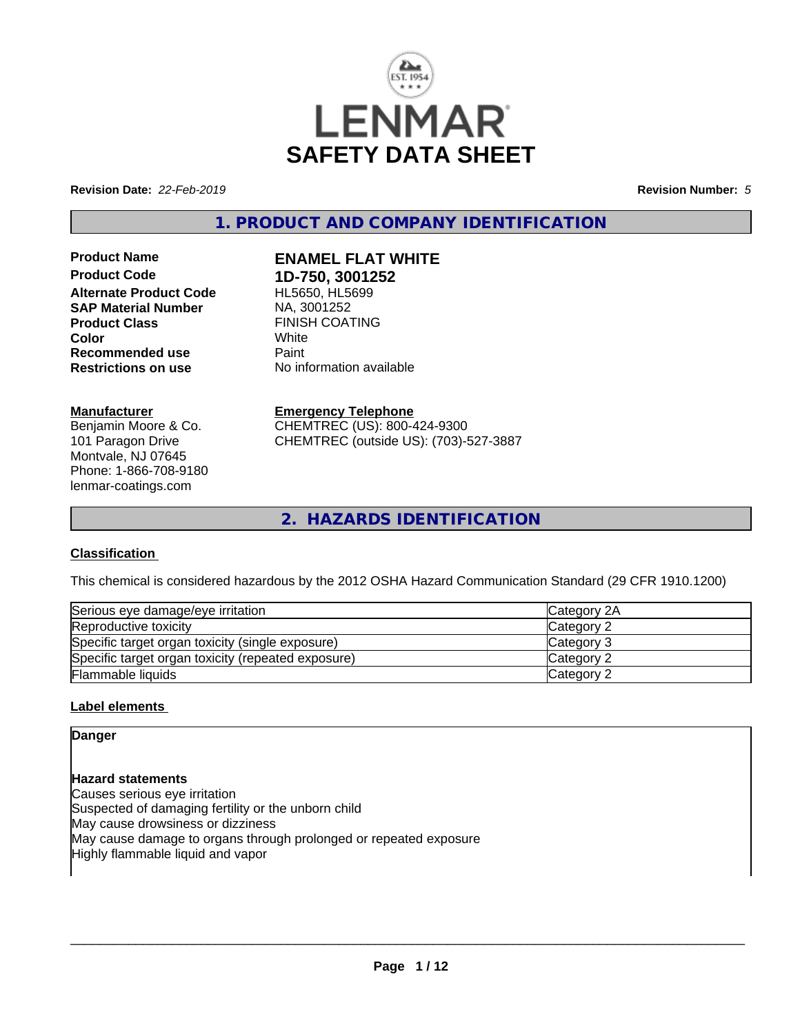

**Revision Date:** *22-Feb-2019* **Revision Number:** *5*

**1. PRODUCT AND COMPANY IDENTIFICATION**

**Product Name ENAMEL FLAT WHITE Product Code 1D-750, 3001252 Alternate Product Code SAP Material Number** NA, 3001252 **Product Class EINISH COATING**<br> **Color** White **Color** White **Recommended use** Paint **Restrictions on use** No information available

## **Manufacturer**

Benjamin Moore & Co. 101 Paragon Drive Montvale, NJ 07645 Phone: 1-866-708-9180 lenmar-coatings.com

**Emergency Telephone** CHEMTREC (US): 800-424-9300 CHEMTREC (outside US): (703)-527-3887

**2. HAZARDS IDENTIFICATION**

## **Classification**

This chemical is considered hazardous by the 2012 OSHA Hazard Communication Standard (29 CFR 1910.1200)

| Serious eye damage/eye irritation                  | <b>ICategory 2A</b> |
|----------------------------------------------------|---------------------|
| Reproductive toxicity                              | Category 2          |
| Specific target organ toxicity (single exposure)   | Category 3          |
| Specific target organ toxicity (repeated exposure) | Category 2          |
| Flammable liquids                                  | Category 2          |

## **Label elements**

## **Danger**

**Hazard statements** Causes serious eye irritation Suspected of damaging fertility or the unborn child May cause drowsiness or dizziness May cause damage to organs through prolonged or repeated exposure Highly flammable liquid and vapor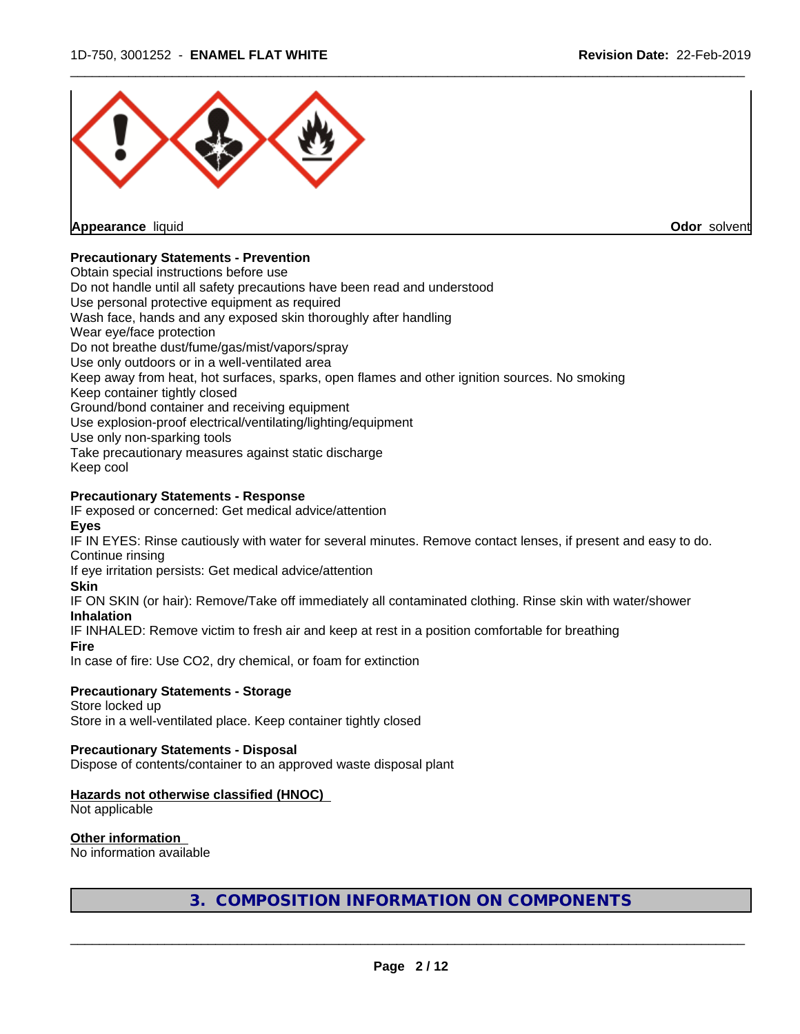

**Odor** solvent

## **Precautionary Statements - Prevention**

Obtain special instructions before use Do not handle until all safety precautions have been read and understood Use personal protective equipment as required Wash face, hands and any exposed skin thoroughly after handling Wear eye/face protection Do not breathe dust/fume/gas/mist/vapors/spray Use only outdoors or in a well-ventilated area Keep away from heat, hot surfaces, sparks, open flames and other ignition sources. No smoking Keep container tightly closed Ground/bond container and receiving equipment Use explosion-proof electrical/ventilating/lighting/equipment Use only non-sparking tools Take precautionary measures against static discharge Keep cool

## **Precautionary Statements - Response**

IF exposed or concerned: Get medical advice/attention

## **Eyes**

IF IN EYES: Rinse cautiously with water for several minutes. Remove contact lenses, if present and easy to do. Continue rinsing

If eye irritation persists: Get medical advice/attention

#### **Skin**

IF ON SKIN (or hair): Remove/Take off immediately all contaminated clothing. Rinse skin with water/shower

## **Inhalation**

IF INHALED: Remove victim to fresh air and keep at rest in a position comfortable for breathing

## **Fire**

In case of fire: Use CO2, dry chemical, or foam for extinction

## **Precautionary Statements - Storage**

Store locked up Store in a well-ventilated place. Keep container tightly closed

## **Precautionary Statements - Disposal**

Dispose of contents/container to an approved waste disposal plant

## **Hazards not otherwise classified (HNOC)**

Not applicable

## **Other information**

No information available

**3. COMPOSITION INFORMATION ON COMPONENTS**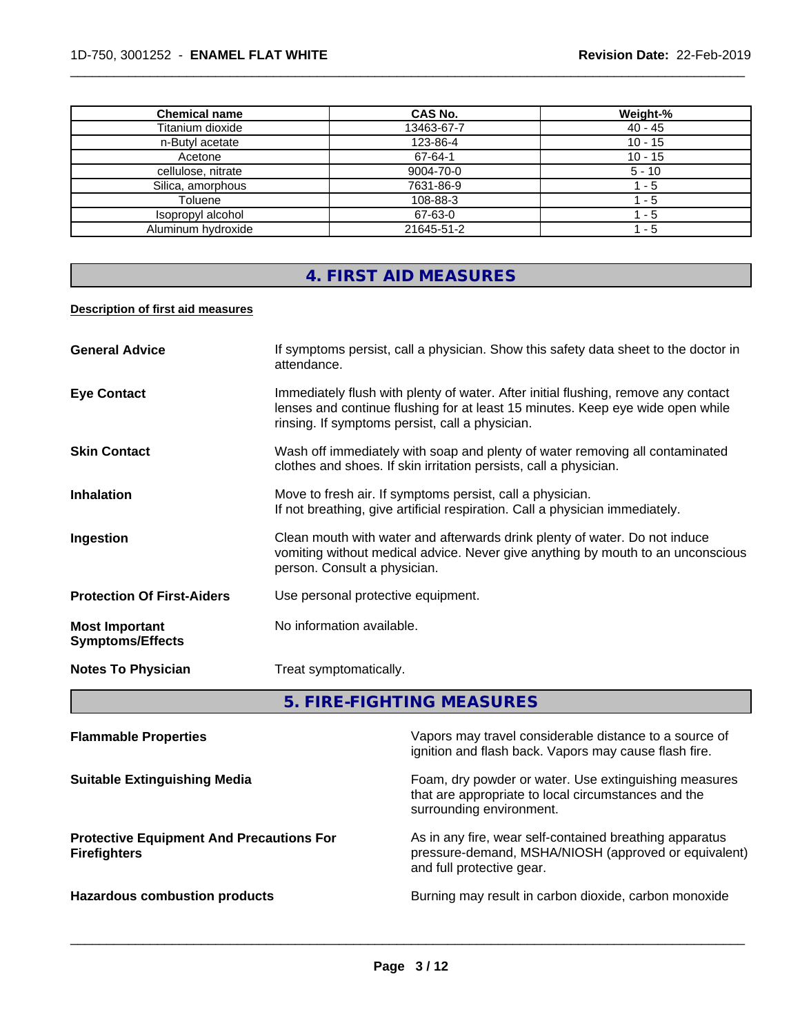| <b>Chemical name</b> | <b>CAS No.</b> | Weight-%  |
|----------------------|----------------|-----------|
| Titanium dioxide     | 13463-67-7     | $40 - 45$ |
| n-Butyl acetate      | 123-86-4       | $10 - 15$ |
| Acetone              | 67-64-1        | $10 - 15$ |
| cellulose, nitrate   | 9004-70-0      | $5 - 10$  |
| Silica, amorphous    | 7631-86-9      | - 5       |
| Toluene              | 108-88-3       | - 5       |
| Isopropyl alcohol    | 67-63-0        | - 5       |
| Aluminum hydroxide   | 21645-51-2     | - 5       |

# **4. FIRST AID MEASURES**

## **Description of first aid measures**

| <b>General Advice</b>                            | If symptoms persist, call a physician. Show this safety data sheet to the doctor in<br>attendance.                                                                                                                      |
|--------------------------------------------------|-------------------------------------------------------------------------------------------------------------------------------------------------------------------------------------------------------------------------|
| <b>Eye Contact</b>                               | Immediately flush with plenty of water. After initial flushing, remove any contact<br>lenses and continue flushing for at least 15 minutes. Keep eye wide open while<br>rinsing. If symptoms persist, call a physician. |
| <b>Skin Contact</b>                              | Wash off immediately with soap and plenty of water removing all contaminated<br>clothes and shoes. If skin irritation persists, call a physician.                                                                       |
| <b>Inhalation</b>                                | Move to fresh air. If symptoms persist, call a physician.<br>If not breathing, give artificial respiration. Call a physician immediately.                                                                               |
| Ingestion                                        | Clean mouth with water and afterwards drink plenty of water. Do not induce<br>vomiting without medical advice. Never give anything by mouth to an unconscious<br>person. Consult a physician.                           |
| <b>Protection Of First-Aiders</b>                | Use personal protective equipment.                                                                                                                                                                                      |
| <b>Most Important</b><br><b>Symptoms/Effects</b> | No information available.                                                                                                                                                                                               |
| <b>Notes To Physician</b>                        | Treat symptomatically.                                                                                                                                                                                                  |

**5. FIRE-FIGHTING MEASURES**

| <b>Flammable Properties</b>                                            | Vapors may travel considerable distance to a source of<br>ignition and flash back. Vapors may cause flash fire.                              |
|------------------------------------------------------------------------|----------------------------------------------------------------------------------------------------------------------------------------------|
| <b>Suitable Extinguishing Media</b>                                    | Foam, dry powder or water. Use extinguishing measures<br>that are appropriate to local circumstances and the<br>surrounding environment.     |
| <b>Protective Equipment And Precautions For</b><br><b>Firefighters</b> | As in any fire, wear self-contained breathing apparatus<br>pressure-demand, MSHA/NIOSH (approved or equivalent)<br>and full protective gear. |
| <b>Hazardous combustion products</b>                                   | Burning may result in carbon dioxide, carbon monoxide                                                                                        |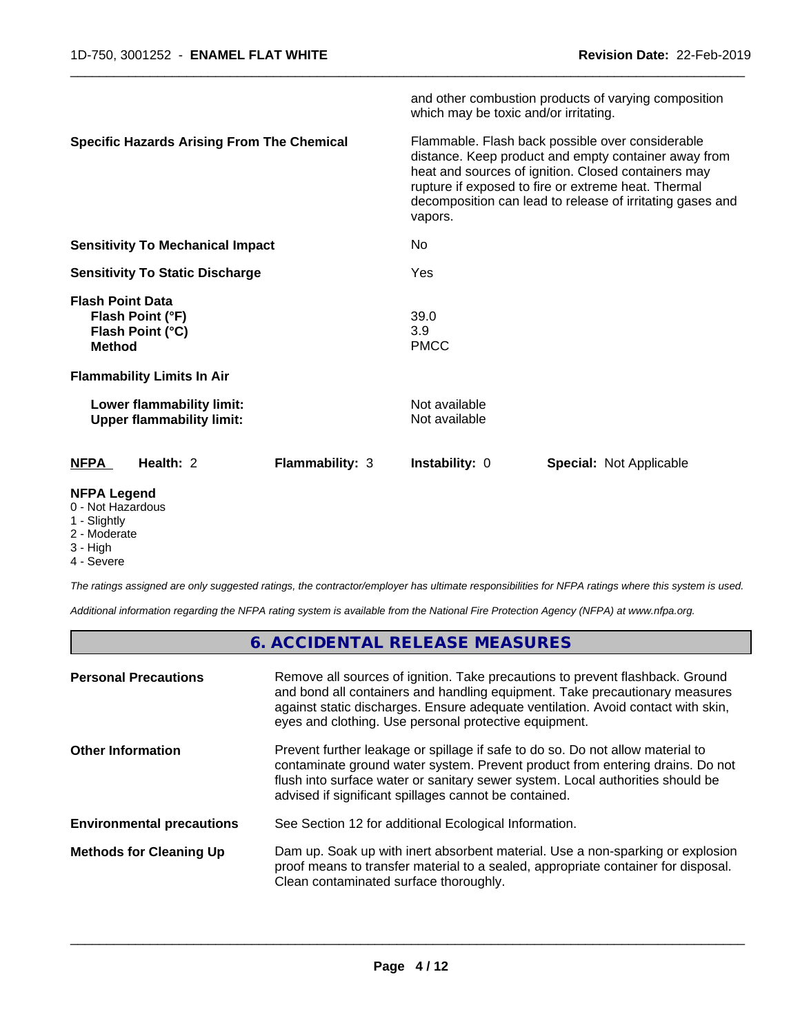|                                                                                  | and other combustion products of varying composition<br>which may be toxic and/or irritating.                                                                                                                                                                                                  |
|----------------------------------------------------------------------------------|------------------------------------------------------------------------------------------------------------------------------------------------------------------------------------------------------------------------------------------------------------------------------------------------|
| <b>Specific Hazards Arising From The Chemical</b>                                | Flammable. Flash back possible over considerable<br>distance. Keep product and empty container away from<br>heat and sources of ignition. Closed containers may<br>rupture if exposed to fire or extreme heat. Thermal<br>decomposition can lead to release of irritating gases and<br>vapors. |
| <b>Sensitivity To Mechanical Impact</b>                                          | No.                                                                                                                                                                                                                                                                                            |
| <b>Sensitivity To Static Discharge</b>                                           | Yes                                                                                                                                                                                                                                                                                            |
| <b>Flash Point Data</b><br>Flash Point (°F)<br>Flash Point (°C)<br><b>Method</b> | 39.0<br>3.9<br><b>PMCC</b>                                                                                                                                                                                                                                                                     |
| <b>Flammability Limits In Air</b>                                                |                                                                                                                                                                                                                                                                                                |
| Lower flammability limit:<br><b>Upper flammability limit:</b>                    | Not available<br>Not available                                                                                                                                                                                                                                                                 |
| Health: 2<br><b>Flammability: 3</b><br><b>NFPA</b>                               | <b>Instability: 0</b><br><b>Special: Not Applicable</b>                                                                                                                                                                                                                                        |
| <b>NFPA Legend</b>                                                               |                                                                                                                                                                                                                                                                                                |

- 0 Not Hazardous
- 1 Slightly
- 2 Moderate
- 3 High
- 4 Severe

*The ratings assigned are only suggested ratings, the contractor/employer has ultimate responsibilities for NFPA ratings where this system is used.*

*Additional information regarding the NFPA rating system is available from the National Fire Protection Agency (NFPA) at www.nfpa.org.*

# **6. ACCIDENTAL RELEASE MEASURES**

| <b>Personal Precautions</b>      | Remove all sources of ignition. Take precautions to prevent flashback. Ground<br>and bond all containers and handling equipment. Take precautionary measures<br>against static discharges. Ensure adequate ventilation. Avoid contact with skin,<br>eyes and clothing. Use personal protective equipment.  |
|----------------------------------|------------------------------------------------------------------------------------------------------------------------------------------------------------------------------------------------------------------------------------------------------------------------------------------------------------|
| <b>Other Information</b>         | Prevent further leakage or spillage if safe to do so. Do not allow material to<br>contaminate ground water system. Prevent product from entering drains. Do not<br>flush into surface water or sanitary sewer system. Local authorities should be<br>advised if significant spillages cannot be contained. |
| <b>Environmental precautions</b> | See Section 12 for additional Ecological Information.                                                                                                                                                                                                                                                      |
| <b>Methods for Cleaning Up</b>   | Dam up. Soak up with inert absorbent material. Use a non-sparking or explosion<br>proof means to transfer material to a sealed, appropriate container for disposal.<br>Clean contaminated surface thoroughly.                                                                                              |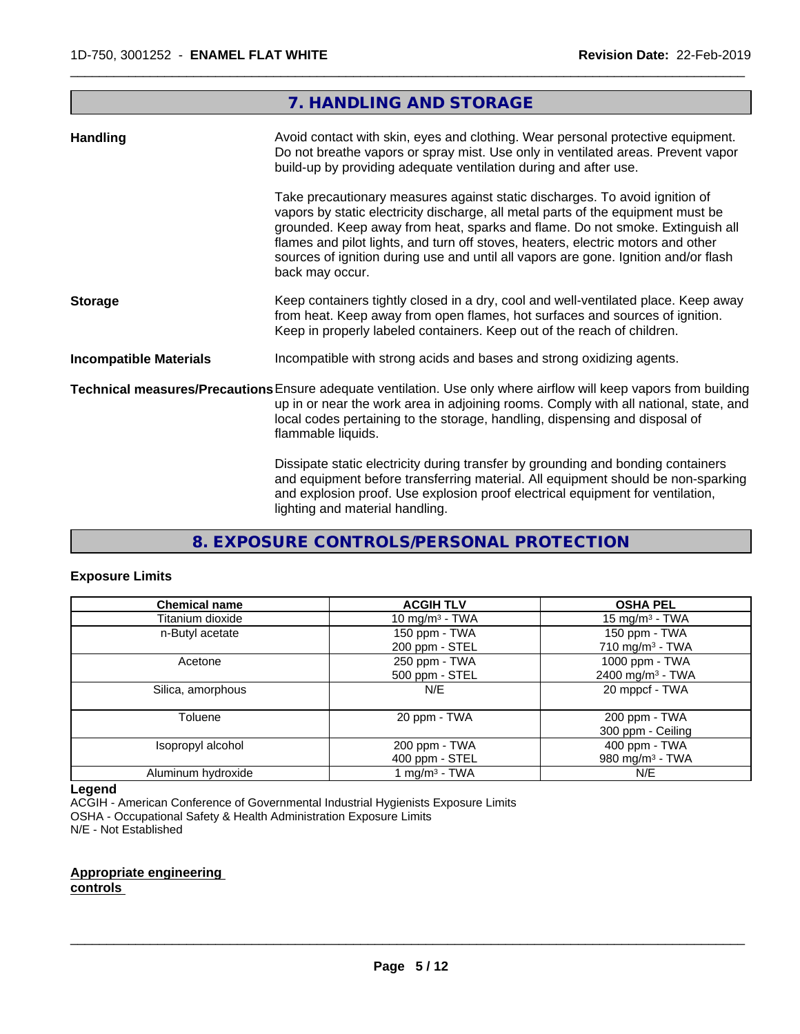|                               | 7. HANDLING AND STORAGE                                                                                                                                                                                                                                                                                                                                                                                                                        |
|-------------------------------|------------------------------------------------------------------------------------------------------------------------------------------------------------------------------------------------------------------------------------------------------------------------------------------------------------------------------------------------------------------------------------------------------------------------------------------------|
| <b>Handling</b>               | Avoid contact with skin, eyes and clothing. Wear personal protective equipment.<br>Do not breathe vapors or spray mist. Use only in ventilated areas. Prevent vapor<br>build-up by providing adequate ventilation during and after use.                                                                                                                                                                                                        |
|                               | Take precautionary measures against static discharges. To avoid ignition of<br>vapors by static electricity discharge, all metal parts of the equipment must be<br>grounded. Keep away from heat, sparks and flame. Do not smoke. Extinguish all<br>flames and pilot lights, and turn off stoves, heaters, electric motors and other<br>sources of ignition during use and until all vapors are gone. Ignition and/or flash<br>back may occur. |
| <b>Storage</b>                | Keep containers tightly closed in a dry, cool and well-ventilated place. Keep away<br>from heat. Keep away from open flames, hot surfaces and sources of ignition.<br>Keep in properly labeled containers. Keep out of the reach of children.                                                                                                                                                                                                  |
| <b>Incompatible Materials</b> | Incompatible with strong acids and bases and strong oxidizing agents.                                                                                                                                                                                                                                                                                                                                                                          |
|                               | Technical measures/Precautions Ensure adequate ventilation. Use only where airflow will keep vapors from building<br>up in or near the work area in adjoining rooms. Comply with all national, state, and<br>local codes pertaining to the storage, handling, dispensing and disposal of<br>flammable liquids.                                                                                                                                 |
|                               | Dissipate static electricity during transfer by grounding and bonding containers<br>and equipment before transferring material. All equipment should be non-sparking<br>and explosion proof. Use explosion proof electrical equipment for ventilation,<br>lighting and material handling.                                                                                                                                                      |

# **8. EXPOSURE CONTROLS/PERSONAL PROTECTION**

## **Exposure Limits**

| <b>Chemical name</b> | <b>ACGIH TLV</b>           | <b>OSHA PEL</b>              |
|----------------------|----------------------------|------------------------------|
| Titanium dioxide     | 10 mg/m <sup>3</sup> - TWA | 15 mg/m $3$ - TWA            |
| n-Butyl acetate      | 150 ppm - TWA              | 150 ppm - TWA                |
|                      | 200 ppm - STEL             | 710 mg/m <sup>3</sup> - TWA  |
| Acetone              | 250 ppm - TWA              | 1000 ppm - TWA               |
|                      | 500 ppm - STEL             | 2400 mg/m <sup>3</sup> - TWA |
| Silica, amorphous    | N/E                        | 20 mppcf - TWA               |
| Toluene              | 20 ppm - TWA               | 200 ppm - TWA                |
|                      |                            | 300 ppm - Ceiling            |
| Isopropyl alcohol    | 200 ppm - TWA              | 400 ppm - TWA                |
|                      | 400 ppm - STEL             | 980 mg/m <sup>3</sup> - TWA  |
| Aluminum hydroxide   | 1 mg/m <sup>3</sup> - TWA  | N/E                          |

#### **Legend**

ACGIH - American Conference of Governmental Industrial Hygienists Exposure Limits OSHA - Occupational Safety & Health Administration Exposure Limits N/E - Not Established

## **Appropriate engineering controls**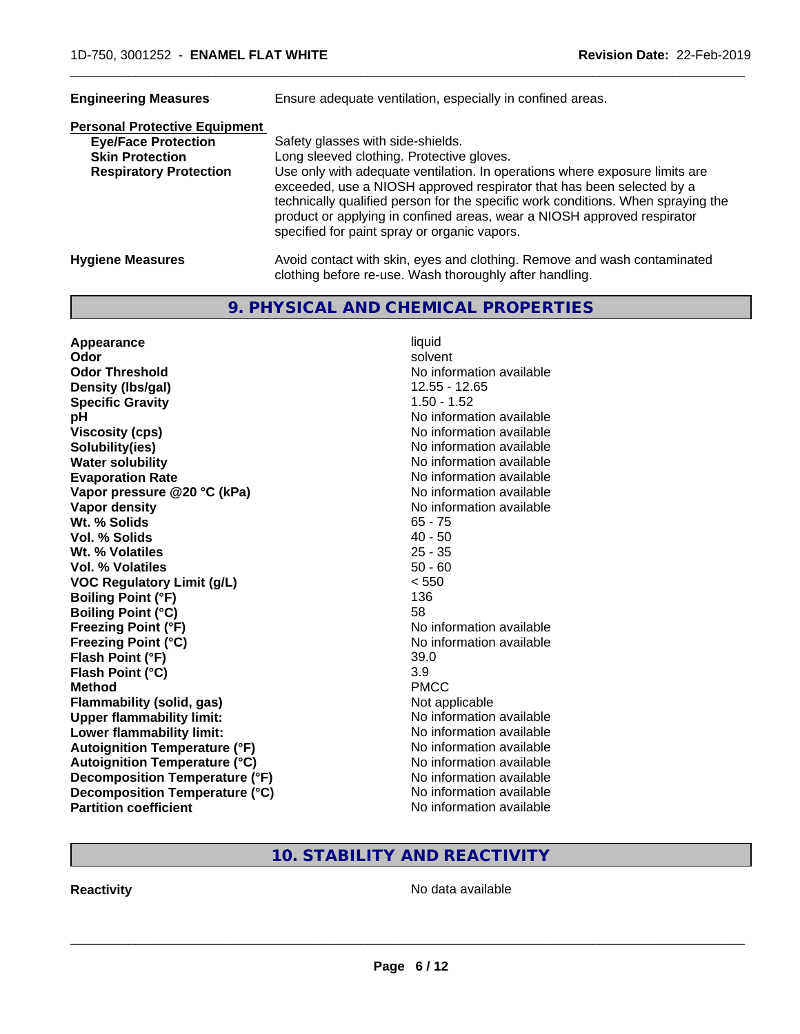| <b>Engineering Measures</b>          | Ensure adequate ventilation, especially in confined areas.                                                                                                                                                                                                                                                                                                          |  |  |
|--------------------------------------|---------------------------------------------------------------------------------------------------------------------------------------------------------------------------------------------------------------------------------------------------------------------------------------------------------------------------------------------------------------------|--|--|
| <b>Personal Protective Equipment</b> |                                                                                                                                                                                                                                                                                                                                                                     |  |  |
| <b>Eye/Face Protection</b>           | Safety glasses with side-shields.                                                                                                                                                                                                                                                                                                                                   |  |  |
| <b>Skin Protection</b>               | Long sleeved clothing. Protective gloves.                                                                                                                                                                                                                                                                                                                           |  |  |
| <b>Respiratory Protection</b>        | Use only with adequate ventilation. In operations where exposure limits are<br>exceeded, use a NIOSH approved respirator that has been selected by a<br>technically qualified person for the specific work conditions. When spraying the<br>product or applying in confined areas, wear a NIOSH approved respirator<br>specified for paint spray or organic vapors. |  |  |
| <b>Hygiene Measures</b>              | Avoid contact with skin, eyes and clothing. Remove and wash contaminated<br>clothing before re-use. Wash thoroughly after handling.                                                                                                                                                                                                                                 |  |  |

## **9. PHYSICAL AND CHEMICAL PROPERTIES**

| Appearance                           | liquid                   |
|--------------------------------------|--------------------------|
| Odor                                 | solvent                  |
| <b>Odor Threshold</b>                | No information available |
| Density (Ibs/gal)                    | 12.55 - 12.65            |
| <b>Specific Gravity</b>              | $1.50 - 1.52$            |
| рH                                   | No information available |
| <b>Viscosity (cps)</b>               | No information available |
| Solubility(ies)                      | No information available |
| <b>Water solubility</b>              | No information available |
| <b>Evaporation Rate</b>              | No information available |
| Vapor pressure @20 °C (kPa)          | No information available |
| Vapor density                        | No information available |
| Wt. % Solids                         | $65 - 75$                |
| Vol. % Solids                        | $40 - 50$                |
| Wt. % Volatiles                      | $25 - 35$                |
| Vol. % Volatiles                     | $50 - 60$                |
| <b>VOC Regulatory Limit (g/L)</b>    | < 550                    |
| <b>Boiling Point (°F)</b>            | 136                      |
| <b>Boiling Point (°C)</b>            | 58                       |
| <b>Freezing Point (°F)</b>           | No information available |
| <b>Freezing Point (°C)</b>           | No information available |
| Flash Point (°F)                     | 39.0                     |
| Flash Point (°C)                     | 3.9                      |
| <b>Method</b>                        | <b>PMCC</b>              |
| <b>Flammability (solid, gas)</b>     | Not applicable           |
| <b>Upper flammability limit:</b>     | No information available |
| Lower flammability limit:            | No information available |
| <b>Autoignition Temperature (°F)</b> | No information available |
| <b>Autoignition Temperature (°C)</b> | No information available |
| Decomposition Temperature (°F)       | No information available |
| Decomposition Temperature (°C)       | No information available |
| <b>Partition coefficient</b>         | No information available |

# **10. STABILITY AND REACTIVITY**

**Reactivity No data available**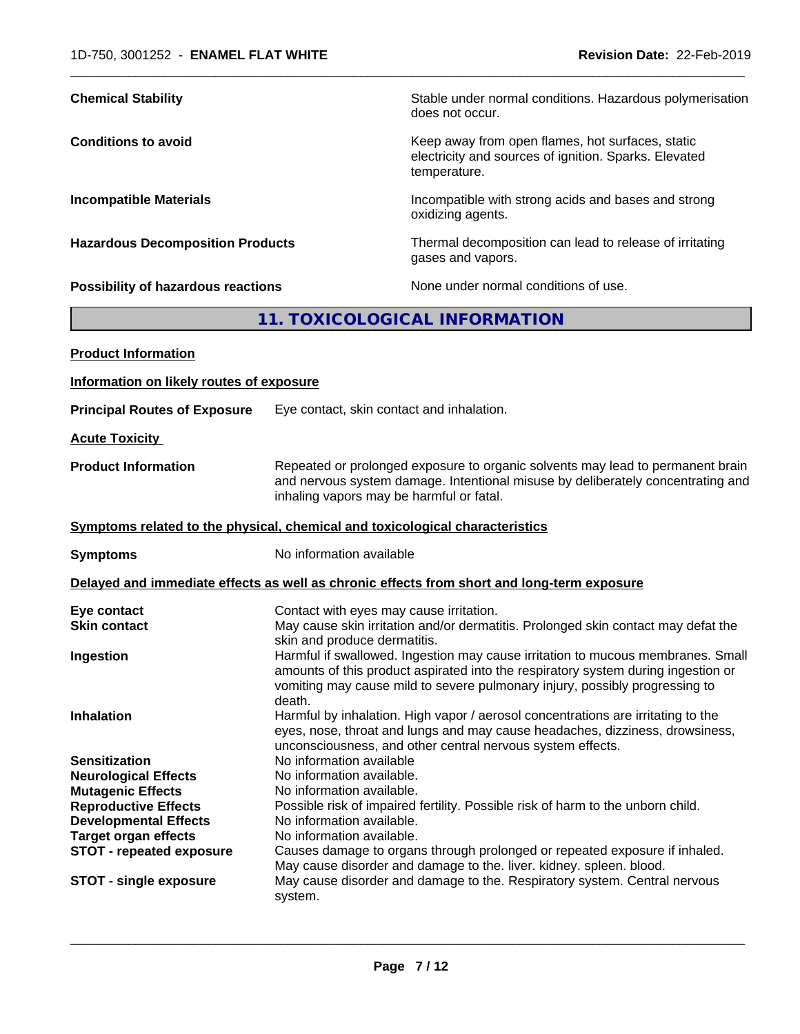| <b>Chemical Stability</b>                                                    |                                                                                                                                                                                                                                | Stable under normal conditions. Hazardous polymerisation<br>does not occur.                                                                                                                                                                         |
|------------------------------------------------------------------------------|--------------------------------------------------------------------------------------------------------------------------------------------------------------------------------------------------------------------------------|-----------------------------------------------------------------------------------------------------------------------------------------------------------------------------------------------------------------------------------------------------|
| <b>Conditions to avoid</b>                                                   |                                                                                                                                                                                                                                | Keep away from open flames, hot surfaces, static<br>electricity and sources of ignition. Sparks. Elevated<br>temperature.                                                                                                                           |
| <b>Incompatible Materials</b>                                                |                                                                                                                                                                                                                                | Incompatible with strong acids and bases and strong<br>oxidizing agents.                                                                                                                                                                            |
| <b>Hazardous Decomposition Products</b>                                      |                                                                                                                                                                                                                                | Thermal decomposition can lead to release of irritating<br>gases and vapors.                                                                                                                                                                        |
| <b>Possibility of hazardous reactions</b>                                    |                                                                                                                                                                                                                                | None under normal conditions of use.                                                                                                                                                                                                                |
|                                                                              |                                                                                                                                                                                                                                | 11. TOXICOLOGICAL INFORMATION                                                                                                                                                                                                                       |
| <b>Product Information</b>                                                   |                                                                                                                                                                                                                                |                                                                                                                                                                                                                                                     |
| Information on likely routes of exposure                                     |                                                                                                                                                                                                                                |                                                                                                                                                                                                                                                     |
| <b>Principal Routes of Exposure</b>                                          |                                                                                                                                                                                                                                | Eye contact, skin contact and inhalation.                                                                                                                                                                                                           |
| <b>Acute Toxicity</b>                                                        |                                                                                                                                                                                                                                |                                                                                                                                                                                                                                                     |
| <b>Product Information</b><br>inhaling vapors may be harmful or fatal.       |                                                                                                                                                                                                                                | Repeated or prolonged exposure to organic solvents may lead to permanent brain<br>and nervous system damage. Intentional misuse by deliberately concentrating and                                                                                   |
| Symptoms related to the physical, chemical and toxicological characteristics |                                                                                                                                                                                                                                |                                                                                                                                                                                                                                                     |
| <b>Symptoms</b>                                                              | No information available                                                                                                                                                                                                       |                                                                                                                                                                                                                                                     |
|                                                                              |                                                                                                                                                                                                                                | Delayed and immediate effects as well as chronic effects from short and long-term exposure                                                                                                                                                          |
| Eye contact<br><b>Skin contact</b>                                           | skin and produce dermatitis.                                                                                                                                                                                                   | Contact with eyes may cause irritation.<br>May cause skin irritation and/or dermatitis. Prolonged skin contact may defat the                                                                                                                        |
| Ingestion                                                                    | death.                                                                                                                                                                                                                         | Harmful if swallowed. Ingestion may cause irritation to mucous membranes. Small<br>amounts of this product aspirated into the respiratory system during ingestion or<br>vomiting may cause mild to severe pulmonary injury, possibly progressing to |
| <b>Inhalation</b>                                                            | Harmful by inhalation. High vapor / aerosol concentrations are irritating to the<br>eyes, nose, throat and lungs and may cause headaches, dizziness, drowsiness,<br>unconsciousness, and other central nervous system effects. |                                                                                                                                                                                                                                                     |
| <b>Sensitization</b>                                                         | No information available                                                                                                                                                                                                       |                                                                                                                                                                                                                                                     |
| <b>Neurological Effects</b>                                                  | No information available.                                                                                                                                                                                                      |                                                                                                                                                                                                                                                     |
| <b>Mutagenic Effects</b>                                                     | No information available.                                                                                                                                                                                                      |                                                                                                                                                                                                                                                     |
| <b>Reproductive Effects</b><br><b>Developmental Effects</b>                  | No information available.                                                                                                                                                                                                      | Possible risk of impaired fertility. Possible risk of harm to the unborn child.                                                                                                                                                                     |
| <b>Target organ effects</b>                                                  | No information available.                                                                                                                                                                                                      |                                                                                                                                                                                                                                                     |
| <b>STOT - repeated exposure</b>                                              |                                                                                                                                                                                                                                | Causes damage to organs through prolonged or repeated exposure if inhaled.                                                                                                                                                                          |
| <b>STOT - single exposure</b>                                                | May cause disorder and damage to the. liver. kidney. spleen. blood.<br>May cause disorder and damage to the. Respiratory system. Central nervous<br>system.                                                                    |                                                                                                                                                                                                                                                     |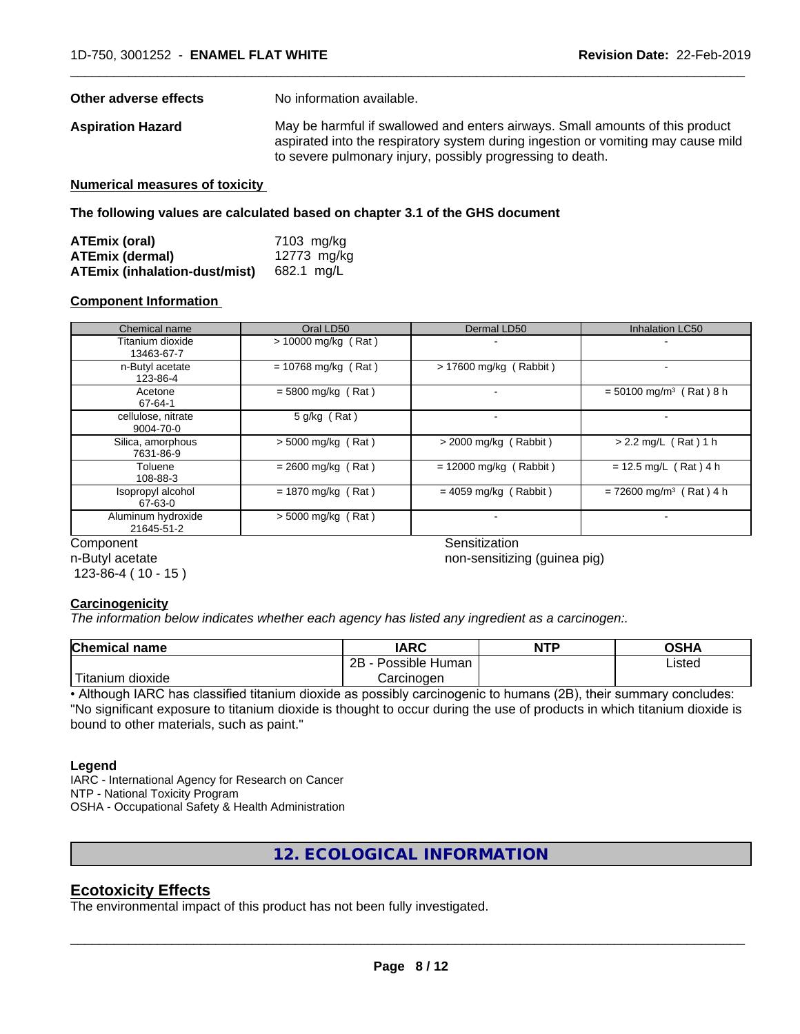**Other adverse effects** No information available.

**Aspiration Hazard** May be harmful if swallowed and enters airways. Small amounts of this product aspirated into the respiratory system during ingestion or vomiting may cause mild to severe pulmonary injury, possibly progressing to death.

 $\overline{\phantom{a}}$  ,  $\overline{\phantom{a}}$  ,  $\overline{\phantom{a}}$  ,  $\overline{\phantom{a}}$  ,  $\overline{\phantom{a}}$  ,  $\overline{\phantom{a}}$  ,  $\overline{\phantom{a}}$  ,  $\overline{\phantom{a}}$  ,  $\overline{\phantom{a}}$  ,  $\overline{\phantom{a}}$  ,  $\overline{\phantom{a}}$  ,  $\overline{\phantom{a}}$  ,  $\overline{\phantom{a}}$  ,  $\overline{\phantom{a}}$  ,  $\overline{\phantom{a}}$  ,  $\overline{\phantom{a}}$ 

**Numerical measures of toxicity**

**The following values are calculated based on chapter 3.1 of the GHS document**

| ATEmix (oral)                 | 7103 mg/kg  |
|-------------------------------|-------------|
| <b>ATEmix (dermal)</b>        | 12773 mg/kg |
| ATEmix (inhalation-dust/mist) | 682.1 ma/L  |

#### **Component Information**

| Chemical name                    | Oral LD50                    | Dermal LD50              | Inhalation LC50                       |
|----------------------------------|------------------------------|--------------------------|---------------------------------------|
| Titanium dioxide<br>13463-67-7   | $> 10000$ mg/kg (Rat)        |                          |                                       |
| n-Butyl acetate<br>123-86-4      | $= 10768$ mg/kg (Rat)        | > 17600 mg/kg (Rabbit)   |                                       |
| Acetone<br>67-64-1               | $= 5800$ mg/kg (Rat)         |                          | $= 50100$ mg/m <sup>3</sup> (Rat) 8 h |
| cellulose, nitrate<br>9004-70-0  | 5 g/kg (Rat)                 |                          |                                       |
| Silica, amorphous<br>7631-86-9   | $> 5000$ mg/kg (Rat)         | $>$ 2000 mg/kg (Rabbit)  | $> 2.2$ mg/L (Rat) 1 h                |
| Toluene<br>108-88-3              | $= 2600$ mg/kg (Rat)         | $= 12000$ mg/kg (Rabbit) | $= 12.5$ mg/L (Rat) 4 h               |
| Isopropyl alcohol<br>67-63-0     | $= 1870$ mg/kg (Rat)         | $= 4059$ mg/kg (Rabbit)  | $= 72600$ mg/m <sup>3</sup> (Rat) 4 h |
| Aluminum hydroxide<br>21645-51-2 | $> 5000$ mg/kg (Rat)         |                          |                                       |
| Component                        |                              | Sensitization            |                                       |
| n-Butyl acetate                  | non-sansitizing (quinas nig) |                          |                                       |

n-Butyl acetate 123-86-4 ( 10 - 15 ) non-sensitizing (guinea pig)

## **Carcinogenicity**

*The information below indicateswhether each agency has listed any ingredient as a carcinogen:.*

| <b>Chemical name</b>        | <b>IARC</b>                 | <b>NTP</b> | <b>OSHA</b> |
|-----------------------------|-----------------------------|------------|-------------|
|                             | . .<br>2B<br>Possible Human |            | Listed      |
| نت ا<br>dioxide<br>Fitanium | Carcinogen                  |            |             |

• Although IARC has classified titanium dioxide as possibly carcinogenic to humans (2B), their summary concludes: "No significant exposure to titanium dioxide is thought to occur during the use of products in which titanium dioxide is bound to other materials, such as paint."

## **Legend**

IARC - International Agency for Research on Cancer NTP - National Toxicity Program OSHA - Occupational Safety & Health Administration

**12. ECOLOGICAL INFORMATION**

## **Ecotoxicity Effects**

The environmental impact of this product has not been fully investigated.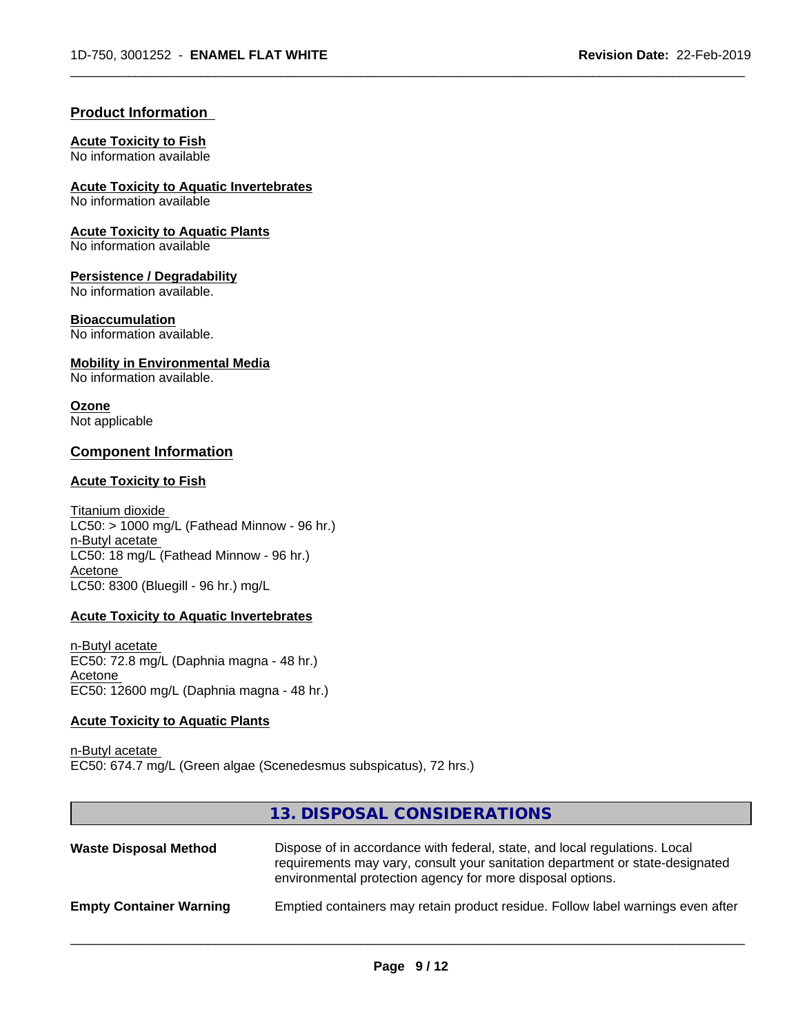## **Product Information**

## **Acute Toxicity to Fish**

No information available

**Acute Toxicity to Aquatic Invertebrates** No information available

**Acute Toxicity to Aquatic Plants**

No information available

## **Persistence / Degradability**

No information available.

## **Bioaccumulation**

No information available.

## **Mobility in Environmental Media**

No information available.

## **Ozone**

Not applicable

## **Component Information**

## **Acute Toxicity to Fish**

Titanium dioxide  $LC50: > 1000$  mg/L (Fathead Minnow - 96 hr.) n-Butyl acetate LC50: 18 mg/L (Fathead Minnow - 96 hr.) Acetone LC50: 8300 (Bluegill - 96 hr.) mg/L

## **Acute Toxicity to Aquatic Invertebrates**

n-Butyl acetate EC50: 72.8 mg/L (Daphnia magna - 48 hr.) Acetone EC50: 12600 mg/L (Daphnia magna - 48 hr.)

## **Acute Toxicity to Aquatic Plants**

n-Butyl acetate EC50: 674.7 mg/L (Green algae (Scenedesmus subspicatus), 72 hrs.)

## **13. DISPOSAL CONSIDERATIONS**

| <b>Waste Disposal Method</b>   | Dispose of in accordance with federal, state, and local regulations. Local<br>requirements may vary, consult your sanitation department or state-designated<br>environmental protection agency for more disposal options. |
|--------------------------------|---------------------------------------------------------------------------------------------------------------------------------------------------------------------------------------------------------------------------|
| <b>Empty Container Warning</b> | Emptied containers may retain product residue. Follow label warnings even after                                                                                                                                           |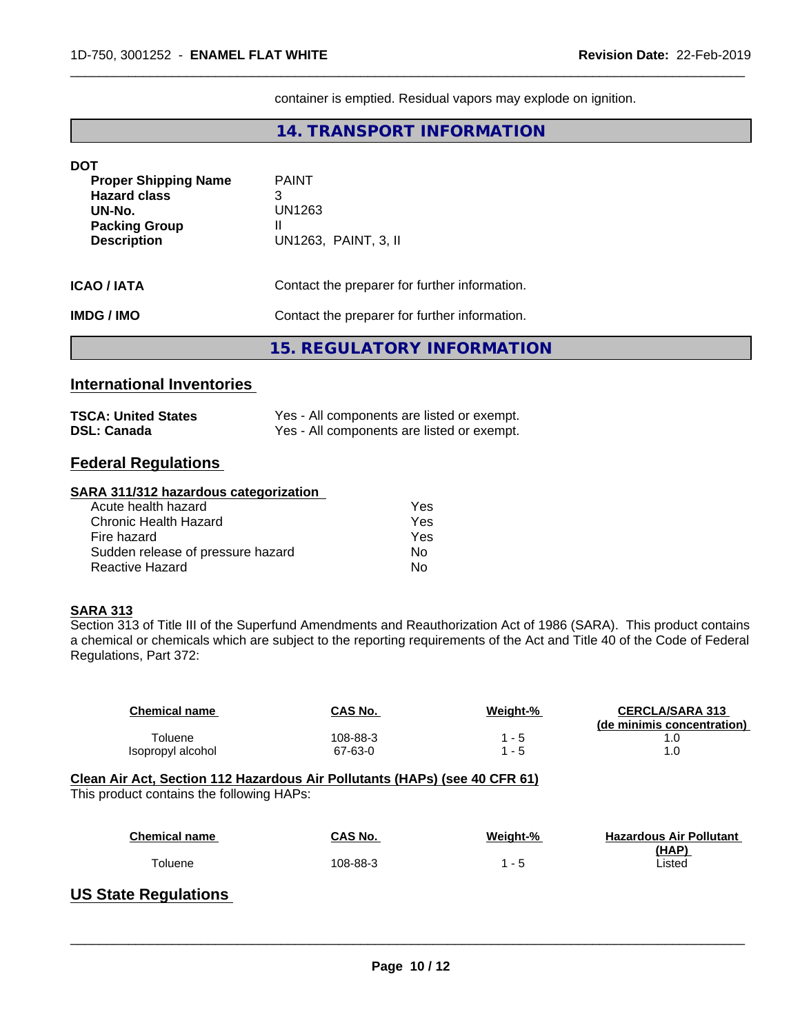container is emptied. Residual vapors may explode on ignition.

 $\overline{\phantom{a}}$  ,  $\overline{\phantom{a}}$  ,  $\overline{\phantom{a}}$  ,  $\overline{\phantom{a}}$  ,  $\overline{\phantom{a}}$  ,  $\overline{\phantom{a}}$  ,  $\overline{\phantom{a}}$  ,  $\overline{\phantom{a}}$  ,  $\overline{\phantom{a}}$  ,  $\overline{\phantom{a}}$  ,  $\overline{\phantom{a}}$  ,  $\overline{\phantom{a}}$  ,  $\overline{\phantom{a}}$  ,  $\overline{\phantom{a}}$  ,  $\overline{\phantom{a}}$  ,  $\overline{\phantom{a}}$ 

## **14. TRANSPORT INFORMATION**

| <b>DOT</b>                  |                                               |
|-----------------------------|-----------------------------------------------|
| <b>Proper Shipping Name</b> | <b>PAINT</b>                                  |
| <b>Hazard class</b>         | 3                                             |
| UN-No.                      | UN1263                                        |
| <b>Packing Group</b>        | Ш                                             |
| <b>Description</b>          | UN1263, PAINT, 3, II                          |
|                             |                                               |
| <b>ICAO / IATA</b>          | Contact the preparer for further information. |
| <b>IMDG / IMO</b>           | Contact the preparer for further information. |
|                             |                                               |
|                             | <b>15. REGULATORY INFORMATION</b>             |
|                             |                                               |

# **International Inventories**

| <b>TSCA: United States</b> | Yes - All components are listed or exempt. |
|----------------------------|--------------------------------------------|
| <b>DSL: Canada</b>         | Yes - All components are listed or exempt. |

## **Federal Regulations**

## **SARA 311/312 hazardous categorization**

| Acute health hazard               | Yes |
|-----------------------------------|-----|
| Chronic Health Hazard             | Yes |
| Fire hazard                       | Yes |
| Sudden release of pressure hazard | N٥  |
| Reactive Hazard                   | N٥  |

## **SARA 313**

Section 313 of Title III of the Superfund Amendments and Reauthorization Act of 1986 (SARA). This product contains a chemical or chemicals which are subject to the reporting requirements of the Act and Title 40 of the Code of Federal Regulations, Part 372:

| <b>Chemical name</b>                                                       | CAS No.  | Weight-% | <b>CERCLA/SARA 313</b><br>(de minimis concentration) |
|----------------------------------------------------------------------------|----------|----------|------------------------------------------------------|
| Toluene                                                                    | 108-88-3 | $1 - 5$  | 1.0                                                  |
| Isopropyl alcohol                                                          | 67-63-0  | $1 - 5$  | 1.0                                                  |
| Clean Air Act, Section 112 Hazardous Air Pollutants (HAPs) (see 40 CFR 61) |          |          |                                                      |
| This product contains the following HAPs:                                  |          |          |                                                      |
| <b>Chemical name</b>                                                       | CAS No.  | Weight-% | <b>Hazardous Air Pollutant</b><br>(HAP)              |

# **US State Regulations**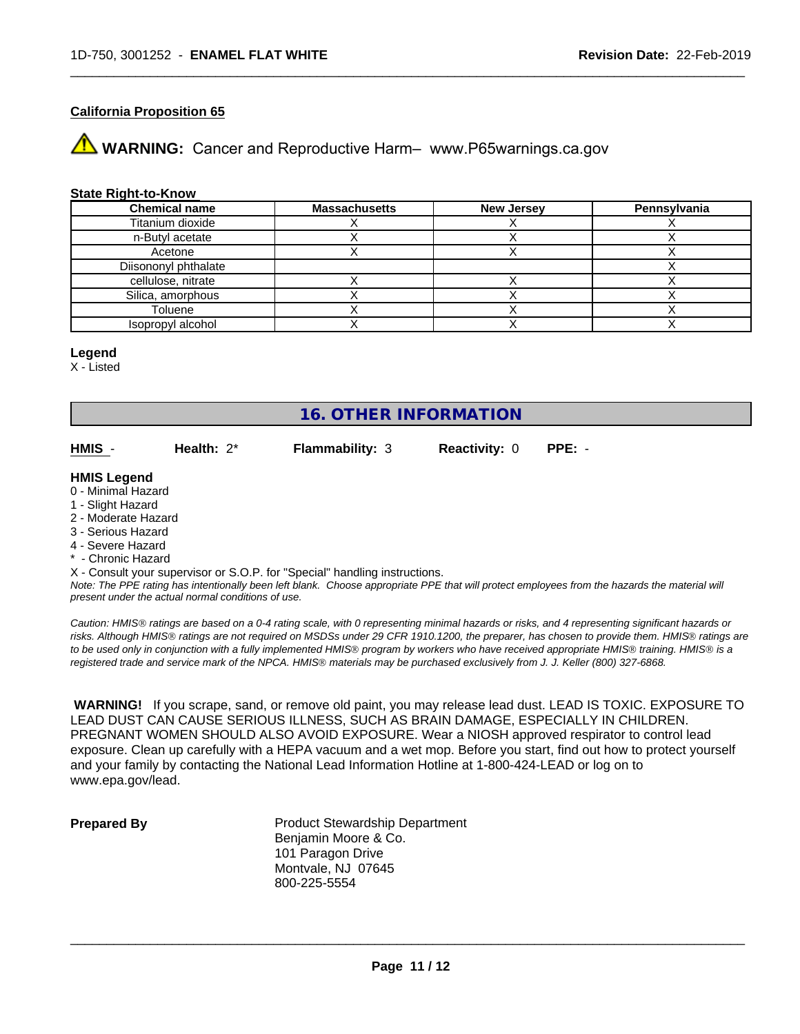## **California Proposition 65**

**WARNING:** Cancer and Reproductive Harm– www.P65warnings.ca.gov

#### **State Right-to-Know**

| <b>Chemical name</b> | <b>Massachusetts</b> | <b>New Jersey</b> | Pennsylvania |
|----------------------|----------------------|-------------------|--------------|
| Titanium dioxide     |                      |                   |              |
| n-Butyl acetate      |                      |                   |              |
| Acetone              |                      |                   |              |
| Diisononyl phthalate |                      |                   |              |
| cellulose, nitrate   |                      |                   |              |
| Silica, amorphous    |                      |                   |              |
| Toluene              |                      |                   |              |
| Isopropyl alcohol    |                      |                   |              |

#### **Legend**

X - Listed

# **16. OTHER INFORMATION**

**HMIS** - **Health:** 2\* **Flammability:** 3 **Reactivity:** 0 **PPE:** -

 $\overline{\phantom{a}}$  ,  $\overline{\phantom{a}}$  ,  $\overline{\phantom{a}}$  ,  $\overline{\phantom{a}}$  ,  $\overline{\phantom{a}}$  ,  $\overline{\phantom{a}}$  ,  $\overline{\phantom{a}}$  ,  $\overline{\phantom{a}}$  ,  $\overline{\phantom{a}}$  ,  $\overline{\phantom{a}}$  ,  $\overline{\phantom{a}}$  ,  $\overline{\phantom{a}}$  ,  $\overline{\phantom{a}}$  ,  $\overline{\phantom{a}}$  ,  $\overline{\phantom{a}}$  ,  $\overline{\phantom{a}}$ 

#### **HMIS Legend**

- 0 Minimal Hazard
- 1 Slight Hazard
- 2 Moderate Hazard
- 3 Serious Hazard
- 4 Severe Hazard
- Chronic Hazard
- X Consult your supervisor or S.O.P. for "Special" handling instructions.

*Note: The PPE rating has intentionally been left blank. Choose appropriate PPE that will protect employees from the hazards the material will present under the actual normal conditions of use.*

*Caution: HMISÒ ratings are based on a 0-4 rating scale, with 0 representing minimal hazards or risks, and 4 representing significant hazards or risks. Although HMISÒ ratings are not required on MSDSs under 29 CFR 1910.1200, the preparer, has chosen to provide them. HMISÒ ratings are to be used only in conjunction with a fully implemented HMISÒ program by workers who have received appropriate HMISÒ training. HMISÒ is a registered trade and service mark of the NPCA. HMISÒ materials may be purchased exclusively from J. J. Keller (800) 327-6868.*

 **WARNING!** If you scrape, sand, or remove old paint, you may release lead dust. LEAD IS TOXIC. EXPOSURE TO LEAD DUST CAN CAUSE SERIOUS ILLNESS, SUCH AS BRAIN DAMAGE, ESPECIALLY IN CHILDREN. PREGNANT WOMEN SHOULD ALSO AVOID EXPOSURE.Wear a NIOSH approved respirator to control lead exposure. Clean up carefully with a HEPA vacuum and a wet mop. Before you start, find out how to protect yourself and your family by contacting the National Lead Information Hotline at 1-800-424-LEAD or log on to www.epa.gov/lead.

**Prepared By** Product Stewardship Department Benjamin Moore & Co. 101 Paragon Drive Montvale, NJ 07645 800-225-5554